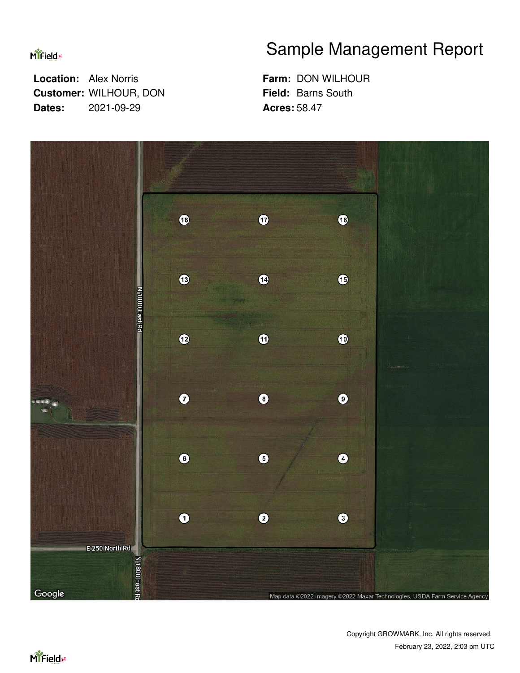**MiField** 

 **Location:** Alex Norris  **Customer:** WILHOUR, DON  **Dates:** 2021-09-29

## Sample Management Report

 **Farm:** DON WILHOUR  **Field:** Barns South  **Acres:** 58.47